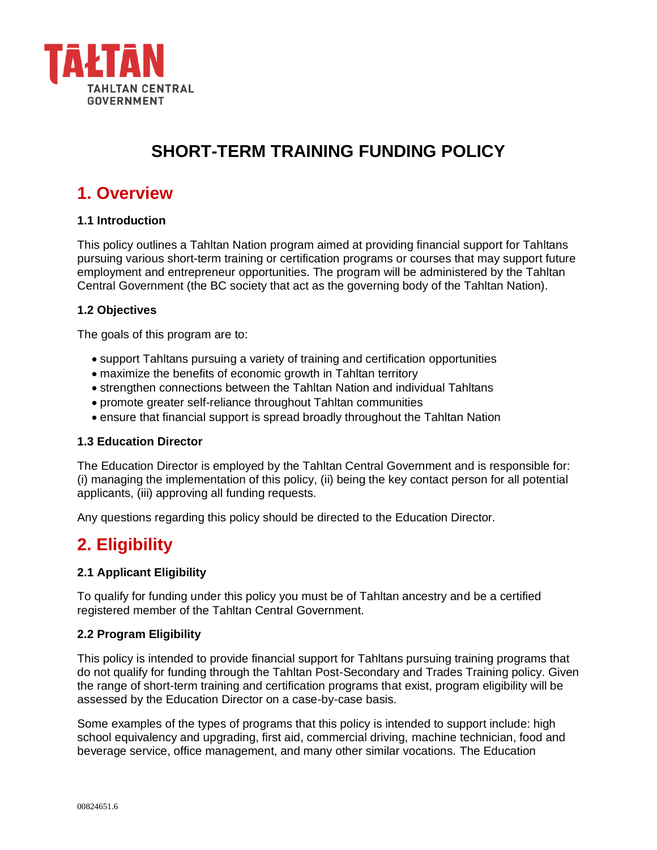

## **SHORT-TERM TRAINING FUNDING POLICY**

## **1. Overview**

#### **1.1 Introduction**

This policy outlines a Tahltan Nation program aimed at providing financial support for Tahltans pursuing various short-term training or certification programs or courses that may support future employment and entrepreneur opportunities. The program will be administered by the Tahltan Central Government (the BC society that act as the governing body of the Tahltan Nation).

#### **1.2 Objectives**

The goals of this program are to:

- support Tahltans pursuing a variety of training and certification opportunities
- maximize the benefits of economic growth in Tahltan territory
- strengthen connections between the Tahltan Nation and individual Tahltans
- promote greater self-reliance throughout Tahltan communities
- ensure that financial support is spread broadly throughout the Tahltan Nation

#### **1.3 Education Director**

The Education Director is employed by the Tahltan Central Government and is responsible for: (i) managing the implementation of this policy, (ii) being the key contact person for all potential applicants, (iii) approving all funding requests.

Any questions regarding this policy should be directed to the Education Director.

## **2. Eligibility**

#### **2.1 Applicant Eligibility**

To qualify for funding under this policy you must be of Tahltan ancestry and be a certified registered member of the Tahltan Central Government.

#### **2.2 Program Eligibility**

This policy is intended to provide financial support for Tahltans pursuing training programs that do not qualify for funding through the Tahltan Post-Secondary and Trades Training policy. Given the range of short-term training and certification programs that exist, program eligibility will be assessed by the Education Director on a case-by-case basis.

Some examples of the types of programs that this policy is intended to support include: high school equivalency and upgrading, first aid, commercial driving, machine technician, food and beverage service, office management, and many other similar vocations. The Education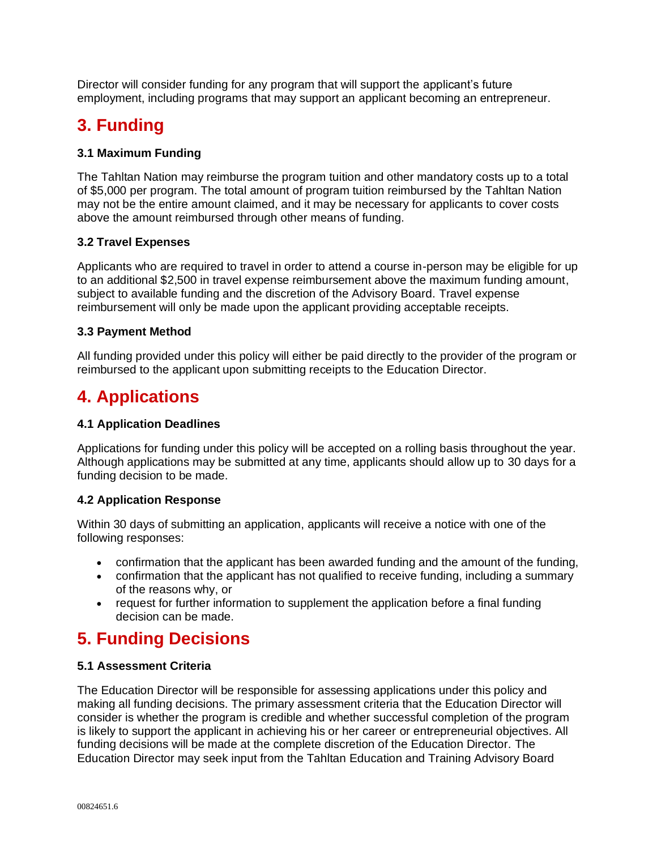Director will consider funding for any program that will support the applicant's future employment, including programs that may support an applicant becoming an entrepreneur.

# **3. Funding**

#### **3.1 Maximum Funding**

The Tahltan Nation may reimburse the program tuition and other mandatory costs up to a total of \$5,000 per program. The total amount of program tuition reimbursed by the Tahltan Nation may not be the entire amount claimed, and it may be necessary for applicants to cover costs above the amount reimbursed through other means of funding.

#### **3.2 Travel Expenses**

Applicants who are required to travel in order to attend a course in-person may be eligible for up to an additional \$2,500 in travel expense reimbursement above the maximum funding amount, subject to available funding and the discretion of the Advisory Board. Travel expense reimbursement will only be made upon the applicant providing acceptable receipts.

#### **3.3 Payment Method**

All funding provided under this policy will either be paid directly to the provider of the program or reimbursed to the applicant upon submitting receipts to the Education Director.

## **4. Applications**

#### **4.1 Application Deadlines**

Applications for funding under this policy will be accepted on a rolling basis throughout the year. Although applications may be submitted at any time, applicants should allow up to 30 days for a funding decision to be made.

#### **4.2 Application Response**

Within 30 days of submitting an application, applicants will receive a notice with one of the following responses:

- confirmation that the applicant has been awarded funding and the amount of the funding,
- confirmation that the applicant has not qualified to receive funding, including a summary of the reasons why, or
- request for further information to supplement the application before a final funding decision can be made.

## **5. Funding Decisions**

#### **5.1 Assessment Criteria**

The Education Director will be responsible for assessing applications under this policy and making all funding decisions. The primary assessment criteria that the Education Director will consider is whether the program is credible and whether successful completion of the program is likely to support the applicant in achieving his or her career or entrepreneurial objectives. All funding decisions will be made at the complete discretion of the Education Director. The Education Director may seek input from the Tahltan Education and Training Advisory Board